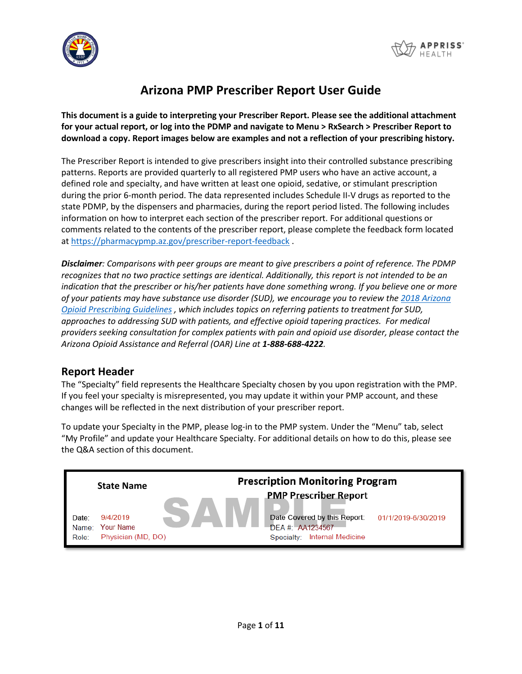



# **Arizona PMP Prescriber Report User Guide**

**This document is a guide to interpreting your Prescriber Report. Please see the additional attachment for your actual report, or log into the PDMP and navigate to Menu > RxSearch > Prescriber Report to download a copy. Report images below are examples and not a reflection of your prescribing history.**

The Prescriber Report is intended to give prescribers insight into their controlled substance prescribing patterns. Reports are provided quarterly to all registered PMP users who have an active account, a defined role and specialty, and have written at least one opioid, sedative, or stimulant prescription during the prior 6-month period. The data represented includes Schedule II-V drugs as reported to the state PDMP, by the dispensers and pharmacies, during the report period listed. The following includes information on how to interpret each section of the prescriber report. For additional questions or comments related to the contents of the prescriber report, please complete the feedback form located a[t https://pharmacypmp.az.gov/prescriber-report-feedback](https://pharmacypmp.az.gov/prescriber-report-feedback) .

*Disclaimer: Comparisons with peer groups are meant to give prescribers a point of reference. The PDMP recognizes that no two practice settings are identical. Additionally, this report is not intended to be an indication that the prescriber or his/her patients have done something wrong. If you believe one or more of your patients may have substance use disorder (SUD), we encourage you to review the [2018 Arizona](https://www.azdhs.gov/documents/audiences/clinicians/clinical-guidelines-recommendations/prescribing-guidelines/az-opioid-prescribing-guidelines.pdf)  [Opioid Prescribing Guidelines](https://www.azdhs.gov/documents/audiences/clinicians/clinical-guidelines-recommendations/prescribing-guidelines/az-opioid-prescribing-guidelines.pdf) , which includes topics on referring patients to treatment for SUD, approaches to addressing SUD with patients, and effective opioid tapering practices. For medical providers seeking consultation for complex patients with pain and opioid use disorder, please contact the Arizona Opioid Assistance and Referral (OAR) Line at 1-888-688-4222.*

#### **Report Header**

The "Specialty" field represents the Healthcare Specialty chosen by you upon registration with the PMP. If you feel your specialty is misrepresented, you may update it within your PMP account, and these changes will be reflected in the next distribution of your prescriber report.

To update your Specialty in the PMP, please log-in to the PMP system. Under the "Menu" tab, select "My Profile" and update your Healthcare Specialty. For additional details on how to do this, please see the Q&A section of this document.

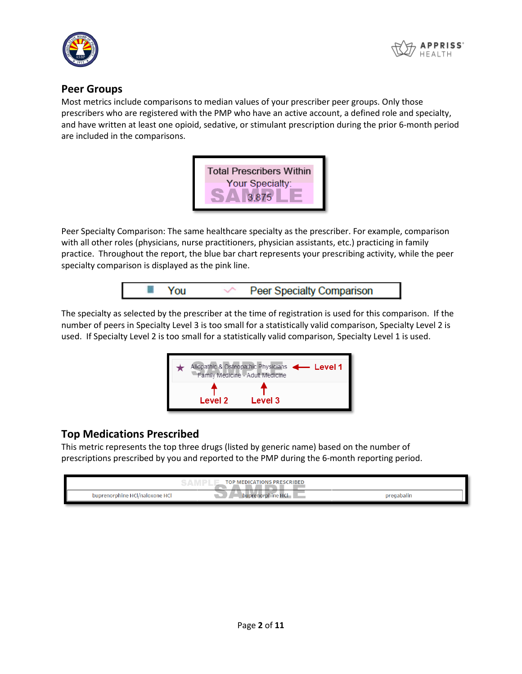



#### **Peer Groups**

Most metrics include comparisons to median values of your prescriber peer groups. Only those prescribers who are registered with the PMP who have an active account, a defined role and specialty, and have written at least one opioid, sedative, or stimulant prescription during the prior 6-month period are included in the comparisons.



Peer Specialty Comparison: The same healthcare specialty as the prescriber. For example, comparison with all other roles (physicians, nurse practitioners, physician assistants, etc.) practicing in family practice. Throughout the report, the blue bar chart represents your prescribing activity, while the peer specialty comparison is displayed as the pink line.



The specialty as selected by the prescriber at the time of registration is used for this comparison. If the number of peers in Specialty Level 3 is too small for a statistically valid comparison, Specialty Level 2 is used. If Specialty Level 2 is too small for a statistically valid comparison, Specialty Level 1 is used.



#### **Top Medications Prescribed**

This metric represents the top three drugs (listed by generic name) based on the number of prescriptions prescribed by you and reported to the PMP during the 6-month reporting period.

|                                      | <b>MEDICATIONS PRESCRIBED</b><br>TOP. |            |
|--------------------------------------|---------------------------------------|------------|
| ੀ/naloxone HC।<br>buprenorphine HCl/ | buprenorphine                         | pregabalin |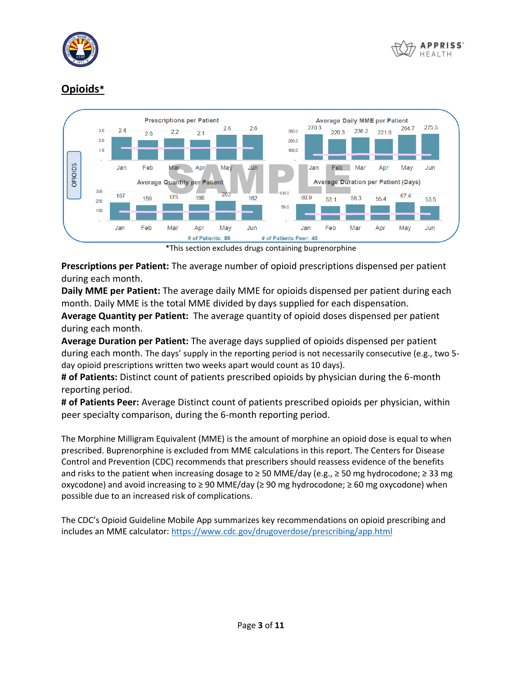



## **Opioids\***



\*This section excludes drugs containing buprenorphine

**Prescriptions per Patient:** The average number of opioid prescriptions dispensed per patient during each month.

**Daily MME per Patient:** The average daily MME for opioids dispensed per patient during each month. Daily MME is the total MME divided by days supplied for each dispensation.

**Average Quantity per Patient:** The average quantity of opioid doses dispensed per patient during each month.

**Average Duration per Patient:** The average days supplied of opioids dispensed per patient during each month. The days' supply in the reporting period is not necessarily consecutive (e.g., two 5 day opioid prescriptions written two weeks apart would count as 10 days).

**# of Patients:** Distinct count of patients prescribed opioids by physician during the 6-month reporting period.

**# of Patients Peer:** Average Distinct count of patients prescribed opioids per physician, within peer specialty comparison, during the 6-month reporting period.

The Morphine Milligram Equivalent (MME) is the amount of morphine an opioid dose is equal to when prescribed. Buprenorphine is excluded from MME calculations in this report. The Centers for Disease Control and Prevention (CDC) recommends that prescribers should reassess evidence of the benefits and risks to the patient when increasing dosage to ≥ 50 MME/day (e.g., ≥ 50 mg hydrocodone; ≥ 33 mg oxycodone) and avoid increasing to ≥ 90 MME/day (≥ 90 mg hydrocodone; ≥ 60 mg oxycodone) when possible due to an increased risk of complications.

The CDC's Opioid Guideline Mobile App summarizes key recommendations on opioid prescribing and includes an MME calculator:<https://www.cdc.gov/drugoverdose/prescribing/app.html>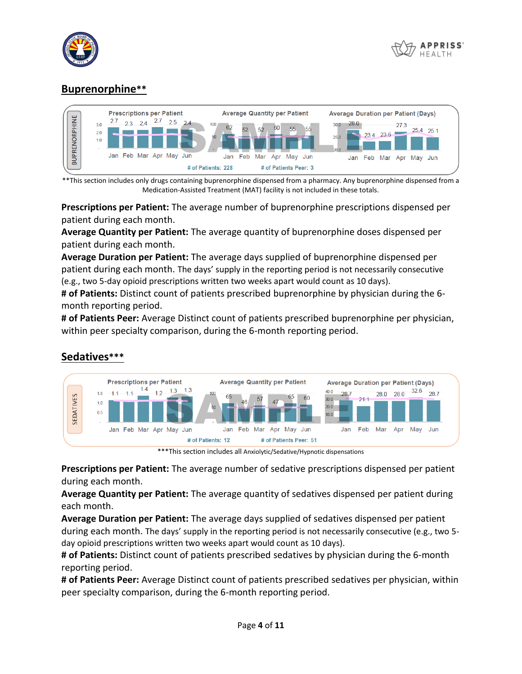



## **Buprenorphine\*\***



\*\*This section includes only drugs containing buprenorphine dispensed from a pharmacy. Any buprenorphine dispensed from a Medication-Assisted Treatment (MAT) facility is not included in these totals.

**Prescriptions per Patient:** The average number of buprenorphine prescriptions dispensed per patient during each month.

**Average Quantity per Patient:** The average quantity of buprenorphine doses dispensed per patient during each month.

**Average Duration per Patient:** The average days supplied of buprenorphine dispensed per patient during each month. The days' supply in the reporting period is not necessarily consecutive (e.g., two 5-day opioid prescriptions written two weeks apart would count as 10 days).

**# of Patients:** Distinct count of patients prescribed buprenorphine by physician during the 6 month reporting period.

**# of Patients Peer:** Average Distinct count of patients prescribed buprenorphine per physician, within peer specialty comparison, during the 6-month reporting period.



#### **Sedatives\*\*\***

\*\*\*This section includes all Anxiolytic/Sedative/Hypnotic dispensations

**Prescriptions per Patient:** The average number of sedative prescriptions dispensed per patient during each month.

**Average Quantity per Patient:** The average quantity of sedatives dispensed per patient during each month.

**Average Duration per Patient:** The average days supplied of sedatives dispensed per patient during each month. The days' supply in the reporting period is not necessarily consecutive (e.g., two 5 day opioid prescriptions written two weeks apart would count as 10 days).

**# of Patients:** Distinct count of patients prescribed sedatives by physician during the 6-month reporting period.

**# of Patients Peer:** Average Distinct count of patients prescribed sedatives per physician, within peer specialty comparison, during the 6-month reporting period.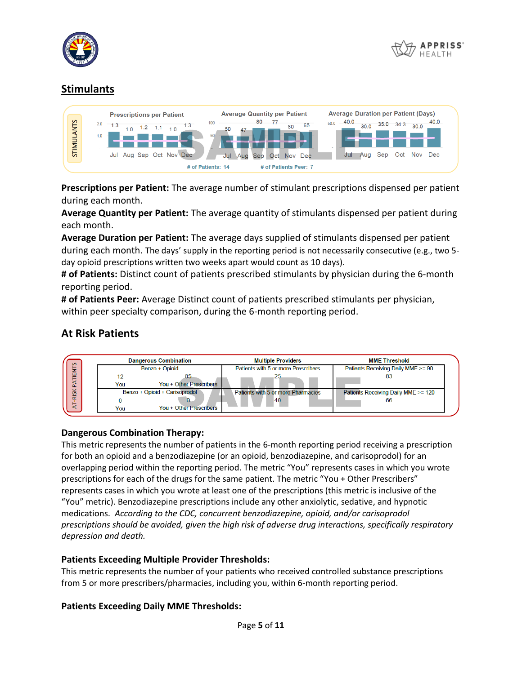



## **Stimulants**

|            |            | <b>Prescriptions per Patient</b> |                |     |  |                      |           |                   |     | 80  | <b>Average Quantity per Patient</b> |            |     |      | 40.0 |      | <b>Average Duration per Patient (Days)</b> |      |      | 40.0 |
|------------|------------|----------------------------------|----------------|-----|--|----------------------|-----------|-------------------|-----|-----|-------------------------------------|------------|-----|------|------|------|--------------------------------------------|------|------|------|
| STIMULANTS | 2.0<br>1.0 | $-1.3$                           | 1 <sub>0</sub> | 1.2 |  |                      | 100<br>50 |                   | 47  |     |                                     | 60         | 65  | 50.0 |      | 30.0 | 35.0                                       | 34.  | 30.0 |      |
|            |            |                                  |                |     |  |                      |           |                   |     |     |                                     |            |     |      |      |      |                                            |      |      |      |
|            |            | Jul                              |                |     |  | Aug Sep Oct Nov Dec- |           | Jul               | Aug | Sep | Oct                                 | <b>Nov</b> | Dec |      | Jul  | Aua  | Sep                                        | ) of | Nov  | Dec  |
|            |            |                                  |                |     |  |                      |           | # of Patients: 14 |     |     | # of Patients Peer: 7               |            |     |      |      |      |                                            |      |      |      |

**Prescriptions per Patient:** The average number of stimulant prescriptions dispensed per patient during each month.

**Average Quantity per Patient:** The average quantity of stimulants dispensed per patient during each month.

**Average Duration per Patient:** The average days supplied of stimulants dispensed per patient during each month. The days' supply in the reporting period is not necessarily consecutive (e.g., two 5 day opioid prescriptions written two weeks apart would count as 10 days).

**# of Patients:** Distinct count of patients prescribed stimulants by physician during the 6-month reporting period.

**# of Patients Peer:** Average Distinct count of patients prescribed stimulants per physician, within peer specialty comparison, during the 6-month reporting period.

# **At Risk Patients**



#### **Dangerous Combination Therapy:**

This metric represents the number of patients in the 6-month reporting period receiving a prescription for both an opioid and a benzodiazepine (or an opioid, benzodiazepine, and carisoprodol) for an overlapping period within the reporting period. The metric "You" represents cases in which you wrote prescriptions for each of the drugs for the same patient. The metric "You + Other Prescribers" represents cases in which you wrote at least one of the prescriptions (this metric is inclusive of the "You" metric). Benzodiazepine prescriptions include any other anxiolytic, sedative, and hypnotic medications. *According to the CDC, concurrent benzodiazepine, opioid, and/or carisoprodol prescriptions should be avoided, given the high risk of adverse drug interactions, specifically respiratory depression and death.*

#### **Patients Exceeding Multiple Provider Thresholds:**

This metric represents the number of your patients who received controlled substance prescriptions from 5 or more prescribers/pharmacies, including you, within 6-month reporting period.

#### **Patients Exceeding Daily MME Thresholds:**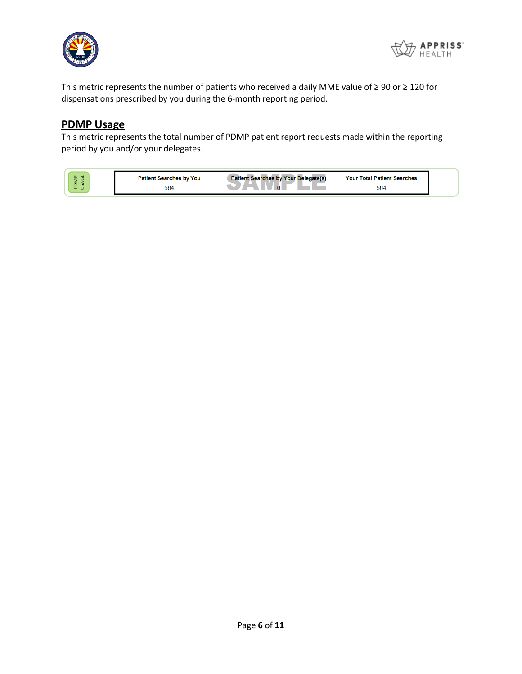



This metric represents the number of patients who received a daily MME value of ≥ 90 or ≥ 120 for dispensations prescribed by you during the 6-month reporting period.

#### **PDMP Usage**

This metric represents the total number of PDMP patient report requests made within the reporting period by you and/or your delegates.

| ய<br>a.<br>-<br>-     | : Searches by You<br>Patien. | Pa<br>Delegate(s)<br>av Your<br>AGE | <b>Searches</b><br><b>Your Total</b><br>Patient |
|-----------------------|------------------------------|-------------------------------------|-------------------------------------------------|
| $\sim$<br>-<br>௨<br>- | 564                          |                                     | 564                                             |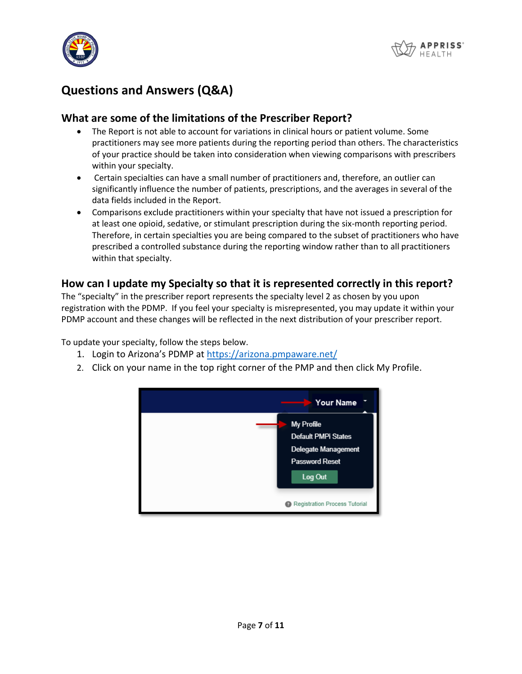



# **Questions and Answers (Q&A)**

#### **What are some of the limitations of the Prescriber Report?**

- The Report is not able to account for variations in clinical hours or patient volume. Some practitioners may see more patients during the reporting period than others. The characteristics of your practice should be taken into consideration when viewing comparisons with prescribers within your specialty.
- Certain specialties can have a small number of practitioners and, therefore, an outlier can significantly influence the number of patients, prescriptions, and the averages in several of the data fields included in the Report.
- Comparisons exclude practitioners within your specialty that have not issued a prescription for at least one opioid, sedative, or stimulant prescription during the six-month reporting period. Therefore, in certain specialties you are being compared to the subset of practitioners who have prescribed a controlled substance during the reporting window rather than to all practitioners within that specialty.

#### **How can I update my Specialty so that it is represented correctly in this report?**

The "specialty" in the prescriber report represents the specialty level 2 as chosen by you upon registration with the PDMP. If you feel your specialty is misrepresented, you may update it within your PDMP account and these changes will be reflected in the next distribution of your prescriber report.

To update your specialty, follow the steps below.

- 1. Login to Arizona's PDMP at <https://arizona.pmpaware.net/>
- 2. Click on your name in the top right corner of the PMP and then click My Profile.

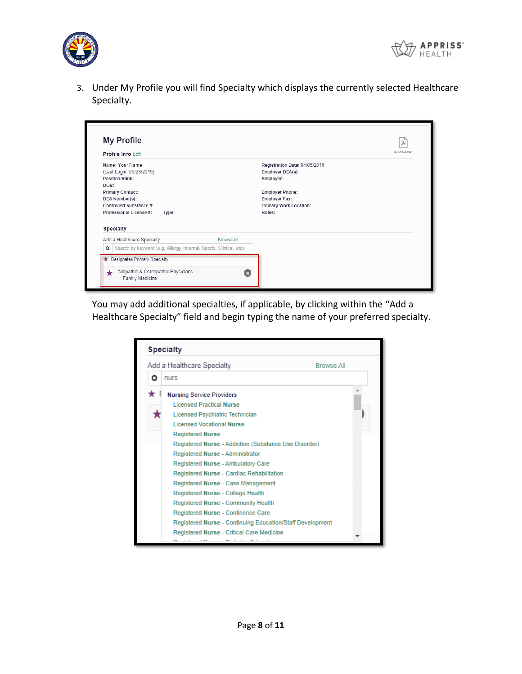



3. Under My Profile you will find Specialty which displays the currently selected Healthcare Specialty.



You may add additional specialties, if applicable, by clicking within the "Add a Healthcare Specialty" field and begin typing the name of your preferred specialty.

|   | <b>Specialty</b>                                          |  |
|---|-----------------------------------------------------------|--|
|   | Add a Healthcare Specialty<br><b>Browse All</b>           |  |
| Ο | nurs                                                      |  |
|   | <b>Nursing Service Providers</b>                          |  |
|   | <b>Licensed Practical Nurse</b>                           |  |
|   | Licensed Psychiatric Technician                           |  |
|   | Licensed Vocational Nurse                                 |  |
|   | <b>Registered Nurse</b>                                   |  |
|   | Registered Nurse - Addiction (Substance Use Disorder)     |  |
|   | Registered Nurse - Administrator                          |  |
|   | Registered Nurse - Ambulatory Care                        |  |
|   | Registered Nurse - Cardiac Rehabilitation                 |  |
|   | Registered Nurse - Case Management                        |  |
|   | Registered Nurse - College Health                         |  |
|   | Registered Nurse - Community Health                       |  |
|   | Registered Nurse - Continence Care                        |  |
|   | Registered Nurse - Continuing Education/Staff Development |  |
|   | Registered Nurse - Critical Care Medicine                 |  |
|   |                                                           |  |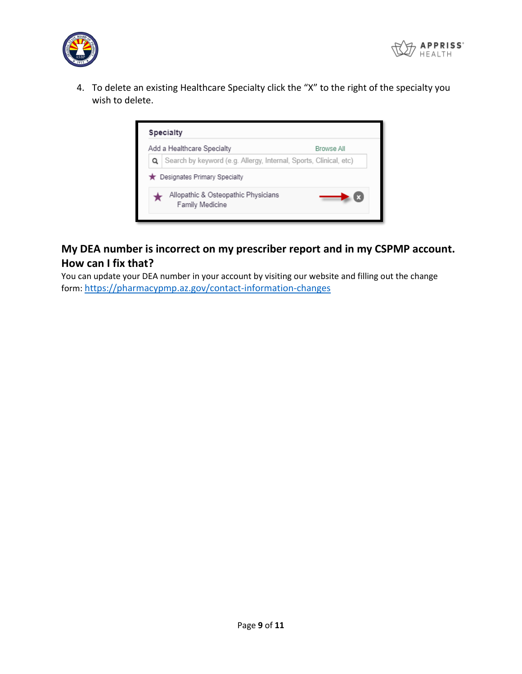



4. To delete an existing Healthcare Specialty click the "X" to the right of the specialty you wish to delete.



## **My DEA number is incorrect on my prescriber report and in my CSPMP account. How can I fix that?**

You can update your DEA number in your account by visiting our website and filling out the change form: <https://pharmacypmp.az.gov/contact-information-changes>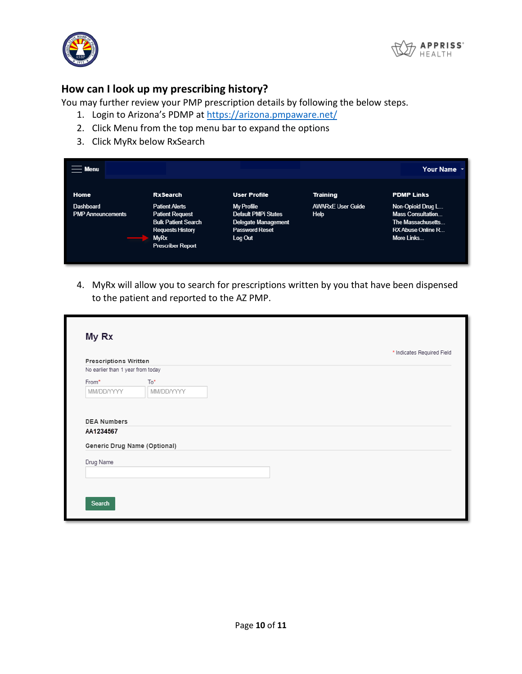



#### **How can I look up my prescribing history?**

You may further review your PMP prescription details by following the below steps.

- 1. Login to Arizona's PDMP at<https://arizona.pmpaware.net/>
- 2. Click Menu from the top menu bar to expand the options
- 3. Click MyRx below RxSearch

| $=$ Menu                                     |                                                                                                                                                     |                                                                                                            |                                  | Your Name *                                                                                                  |
|----------------------------------------------|-----------------------------------------------------------------------------------------------------------------------------------------------------|------------------------------------------------------------------------------------------------------------|----------------------------------|--------------------------------------------------------------------------------------------------------------|
| Home                                         | <b>RxSearch</b>                                                                                                                                     | <b>User Profile</b>                                                                                        | <b>Training</b>                  | <b>PDMP Links</b>                                                                                            |
| <b>Dashboard</b><br><b>PMP Announcements</b> | <b>Patient Alerts</b><br><b>Patient Request</b><br><b>Bulk Patient Search</b><br><b>Requests History</b><br><b>MyRx</b><br><b>Prescriber Report</b> | My Profile<br><b>Default PMPi States</b><br><b>Delegate Management</b><br><b>Password Reset</b><br>Log Out | <b>AWARxE User Guide</b><br>Help | Non-Opioid Drug L<br><b>Mass Consultation</b><br>The Massachusetts<br><b>RX Abuse Online R</b><br>More Links |

4. MyRx will allow you to search for prescriptions written by you that have been dispensed to the patient and reported to the AZ PMP.

| <b>Prescriptions Written</b>              |            | * Indicates Required Field |
|-------------------------------------------|------------|----------------------------|
| No earlier than 1 year from today         |            |                            |
| From*                                     | $To*$      |                            |
| MM/DD/YYYY                                | MM/DD/YYYY |                            |
| <b>DEA Numbers</b><br>AA1234567           |            |                            |
|                                           |            |                            |
|                                           |            |                            |
| Generic Drug Name (Optional)<br>Drug Name |            |                            |